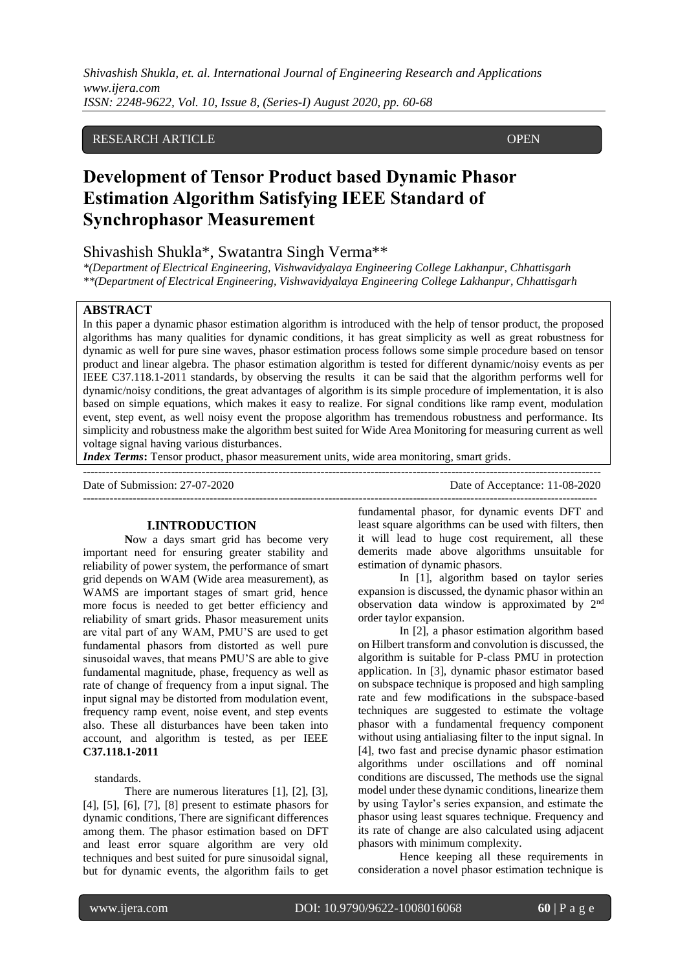# RESEARCH ARTICLE **CONTRACT OPEN**

# **Development of Tensor Product based Dynamic Phasor Estimation Algorithm Satisfying IEEE Standard of Synchrophasor Measurement**

# Shivashish Shukla\*, Swatantra Singh Verma\*\*

*\*(Department of Electrical Engineering, Vishwavidyalaya Engineering College Lakhanpur, Chhattisgarh \*\*(Department of Electrical Engineering, Vishwavidyalaya Engineering College Lakhanpur, Chhattisgarh*

# **ABSTRACT**

ACCESS

In this paper a dynamic phasor estimation algorithm is introduced with the help of tensor product, the proposed algorithms has many qualities for dynamic conditions, it has great simplicity as well as great robustness for dynamic as well for pure sine waves, phasor estimation process follows some simple procedure based on tensor product and linear algebra. The phasor estimation algorithm is tested for different dynamic/noisy events as per IEEE C37.118.1-2011 standards, by observing the results it can be said that the algorithm performs well for dynamic/noisy conditions, the great advantages of algorithm is its simple procedure of implementation, it is also based on simple equations, which makes it easy to realize. For signal conditions like ramp event, modulation event, step event, as well noisy event the propose algorithm has tremendous robustness and performance. Its simplicity and robustness make the algorithm best suited for Wide Area Monitoring for measuring current as well voltage signal having various disturbances.

*Index Terms*: Tensor product, phasor measurement units, wide area monitoring, smart grids.

| Date of Submission: 27-07-2020 | Date of Acceptance: 11-08-2020 |
|--------------------------------|--------------------------------|
|                                |                                |

# **I.INTRODUCTION**

**N**ow a days smart grid has become very important need for ensuring greater stability and reliability of power system, the performance of smart grid depends on WAM (Wide area measurement), as WAMS are important stages of smart grid, hence more focus is needed to get better efficiency and reliability of smart grids. Phasor measurement units are vital part of any WAM, PMU'S are used to get fundamental phasors from distorted as well pure sinusoidal waves, that means PMU'S are able to give fundamental magnitude, phase, frequency as well as rate of change of frequency from a input signal. The input signal may be distorted from modulation event, frequency ramp event, noise event, and step events also. These all disturbances have been taken into account, and algorithm is tested, as per IEEE **C37.118.1-2011** 

#### standards.

There are numerous literatures [1], [2], [3], [4], [5], [6], [7], [8] present to estimate phasors for dynamic conditions, There are significant differences among them. The phasor estimation based on DFT and least error square algorithm are very old techniques and best suited for pure sinusoidal signal, but for dynamic events, the algorithm fails to get fundamental phasor, for dynamic events DFT and least square algorithms can be used with filters, then it will lead to huge cost requirement, all these demerits made above algorithms unsuitable for estimation of dynamic phasors.

In [1], algorithm based on taylor series expansion is discussed, the dynamic phasor within an observation data window is approximated by 2nd order taylor expansion.

In [2], a phasor estimation algorithm based on Hilbert transform and convolution is discussed, the algorithm is suitable for P-class PMU in protection application. In [3], dynamic phasor estimator based on subspace technique is proposed and high sampling rate and few modifications in the subspace-based techniques are suggested to estimate the voltage phasor with a fundamental frequency component without using antialiasing filter to the input signal. In [4], two fast and precise dynamic phasor estimation algorithms under oscillations and off nominal conditions are discussed, The methods use the signal model under these dynamic conditions, linearize them by using Taylor's series expansion, and estimate the phasor using least squares technique. Frequency and its rate of change are also calculated using adjacent phasors with minimum complexity.

Hence keeping all these requirements in consideration a novel phasor estimation technique is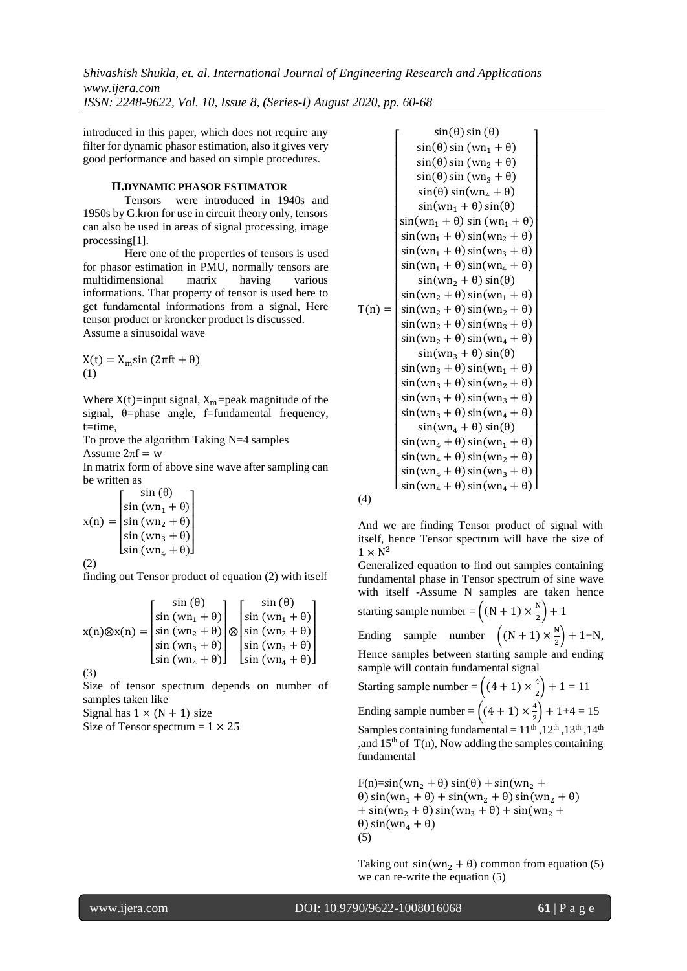introduced in this paper, which does not require any filter for dynamic phasor estimation, also it gives very good performance and based on simple procedures.

# **II.DYNAMIC PHASOR ESTIMATOR**

Tensors were introduced in 1940s and 1950s by G.kron for use in circuit theory only, tensors can also be used in areas of signal processing, image processing[1].

Here one of the properties of tensors is used for phasor estimation in PMU, normally tensors are multidimensional matrix having various informations. That property of tensor is used here to get fundamental informations from a signal, Here tensor product or kroncker product is discussed. Assume a sinusoidal wave

 $X(t) = X<sub>m</sub>sin(2πft + θ)$ (1)

Where  $X(t)$ =input signal,  $X_m$ =peak magnitude of the signal,  $\theta$ =phase angle, f=fundamental frequency,  $t = time$ 

To prove the algorithm Taking N=4 samples

Assume  $2\pi f = w$ 

In matrix form of above sine wave after sampling can be written as

$$
x(n) = \begin{bmatrix} \sin(\theta) \\ \sin(\omega n_1 + \theta) \\ \sin(\omega n_2 + \theta) \\ \sin(\omega n_3 + \theta) \\ \sin(\omega n_4 + \theta) \end{bmatrix}
$$

$$
(2)
$$

finding out Tensor product of equation (2) with itself

$$
x(n)\otimes x(n) = \begin{bmatrix} \sin(\theta) \\ \sin(\omega n_1 + \theta) \\ \sin(\omega n_2 + \theta) \\ \sin(\omega n_3 + \theta) \\ \sin(\omega n_4 + \theta) \end{bmatrix} \otimes \begin{bmatrix} \sin(\theta) \\ \sin(\omega n_1 + \theta) \\ \sin(\omega n_2 + \theta) \\ \sin(\omega n_3 + \theta) \\ \sin(\omega n_4 + \theta) \end{bmatrix}
$$

(3)

Size of tensor spectrum depends on number of samples taken like

Signal has  $1 \times (N + 1)$  size

Size of Tensor spectrum  $= 1 \times 25$ 

 $T(n) =$  $\textsf{L}\sin(\textsf{wn}_4 + \theta) \sin(\textsf{wn}_4 + \theta) \textsf{L}$ ł ł ł ł ł ł ł ł ł ł ł ł ł  $\sin(\text{wn}_2 + \theta) \sin(\text{wn}_2 + \theta)$ I ł ł ł I ł  $\sin(\omega n_1 + \theta) \sin(\omega n_1 + \theta)$ ł ł I ł ł ł  $sin(\theta) sin(\theta)$  $sin(\theta) sin (wn_1 + \theta)$  $sin(\theta) sin (wn<sub>2</sub> + \theta)$  $sin(\theta) sin (wn_3 + \theta)$  $sin(\theta) sin(wn_4 + \theta)$  $sin(wn_1 + \theta) sin(\theta)$  $sin(wn_1 + \theta) sin(wn_2 + \theta)$  $sin(wn_1 + \theta) sin(wn_3 + \theta)$  $sin(wn_1 + \theta) sin(wn_4 + \theta)$  $sin(wn_2 + \theta) sin(\theta)$  $sin(wn_2 + \theta) sin(wn_1 + \theta)$  $sin(wn_2 + \theta) sin(wn_3 + \theta)$  $sin(wn_2 + \theta) sin(wn_4 + \theta)$  $sin(wn_3 + \theta) sin(\theta)$  $sin(wn_3 + \theta) sin(wn_1 + \theta)$  $sin(wn_3 + \theta) sin(wn_2 + \theta)$  $sin(wn_3 + \theta) sin(wn_3 + \theta)$  $sin(wn_3 + \theta) sin(wn_4 + \theta)$  $sin(wn_4 + \theta) sin(\theta)$  $sin(\text{wn}_4 + \theta) sin(\text{wn}_1 + \theta)$  $sin(wn_4 + \theta) sin(wn_2 + \theta)$  $sin(wn_4 + \theta) sin(wn_3 + \theta)$ I I I I I I I I I I I I I I I I I I I I I I I I I I I

(4)

And we are finding Tensor product of signal with itself, hence Tensor spectrum will have the size of  $1 \times N^2$ 

Generalized equation to find out samples containing fundamental phase in Tensor spectrum of sine wave with itself -Assume N samples are taken hence starting sample number =  $\left((N + 1) \times \frac{N}{2}\right)$  $(\frac{1}{2})+1$ Ending sample number  $((N + 1) \times \frac{N}{2})$  $\frac{1}{2}$  + 1+N,

Hence samples between starting sample and ending sample will contain fundamental signal

Starting sample number =  $\left((4 + 1) \times \frac{4}{3}\right)$  $\binom{4}{2} + 1 = 11$ Ending sample number =  $\left((4 + 1) \times \frac{4}{3}\right)$  $\binom{4}{2}$  + 1+4 = 15 Samples containing fundamental =  $11^{\text{th}}$ ,  $12^{\text{th}}$ ,  $13^{\text{th}}$ ,  $14^{\text{th}}$ , and  $15<sup>th</sup>$  of T(n), Now adding the samples containing fundamental

 $F(n)=sin(wn_2 + \theta) sin(\theta) + sin(wn_2 + \theta)$ θ) sin(wn<sub>1</sub> + θ) + sin(wn<sub>2</sub> + θ) sin(wn<sub>2</sub> + θ) +  $sin(wn_2 + \theta) sin(wn_3 + \theta) + sin(wn_2 + \theta)$  $θ$ ) sin(wn<sub>4</sub> +  $θ$ ) (5)

Taking out  $sin(wn_2 + \theta)$  common from equation (5) we can re-write the equation (5)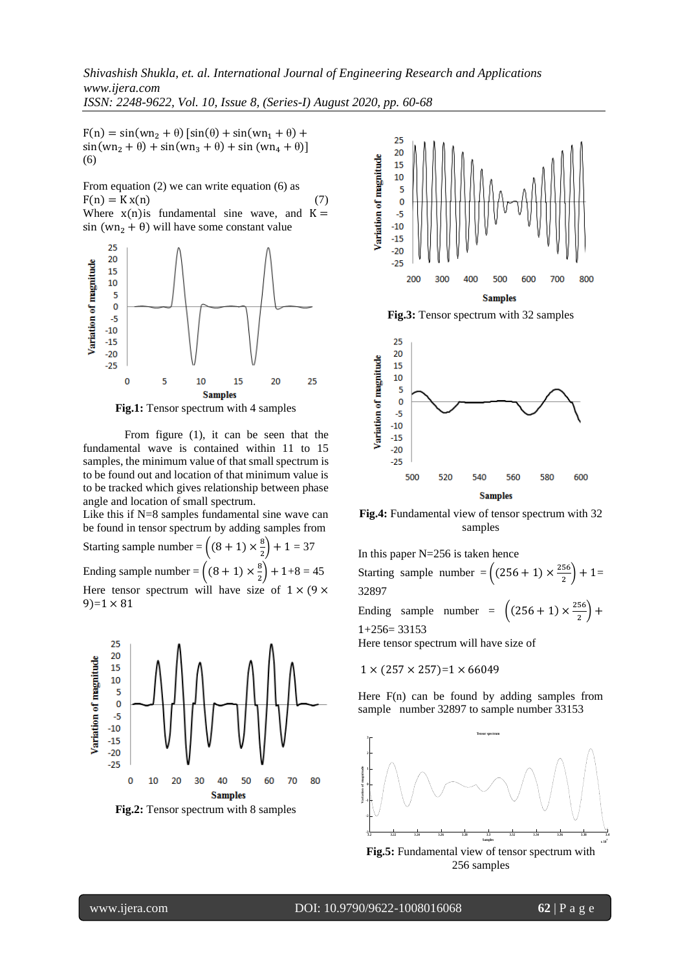$F(n) = sin(wn_2 + \theta) [sin(\theta) + sin(wn_1 + \theta) +$  $sin(wn_2 + \theta) + sin(wn_3 + \theta) + sin(wn_4 + \theta)$ ] (6)

From equation (2) we can write equation (6) as  $F(n) = Kx(n)$  (7) Where  $x(n)$  is fundamental sine wave, and  $K =$ sin (wn<sub>2</sub> +  $\theta$ ) will have some constant value





From figure (1), it can be seen that the fundamental wave is contained within 11 to 15 samples, the minimum value of that small spectrum is to be found out and location of that minimum value is to be tracked which gives relationship between phase angle and location of small spectrum.

Like this if N=8 samples fundamental sine wave can be found in tensor spectrum by adding samples from Starting sample number =  $\left((8 + 1) \times \frac{8}{3}\right)$  $\binom{8}{2} + 1 = 37$ Ending sample number =  $\left((8 + 1) \times \frac{8}{3}\right)$  $\binom{8}{2}$  + 1+8 = 45 Here tensor spectrum will have size of  $1 \times (9 \times$  $9=1 \times 81$ 





**Fig.3:** Tensor spectrum with 32 samples



**Fig.4:** Fundamental view of tensor spectrum with 32 samples

In this paper  $N=256$  is taken hence Starting sample number =  $\left( (256 + 1) \times \frac{256}{3} \right)$  $\frac{36}{2}$  + 1= 32897 Ending sample number =  $\left( (256 + 1) \times \frac{256}{3} \right)$  $\frac{30}{2}$  + 1+256= 33153 Here tensor spectrum will have size of

$$
1 \times (257 \times 257)=1 \times 66049
$$

Here F(n) can be found by adding samples from sample number 32897 to sample number 33153



256 samples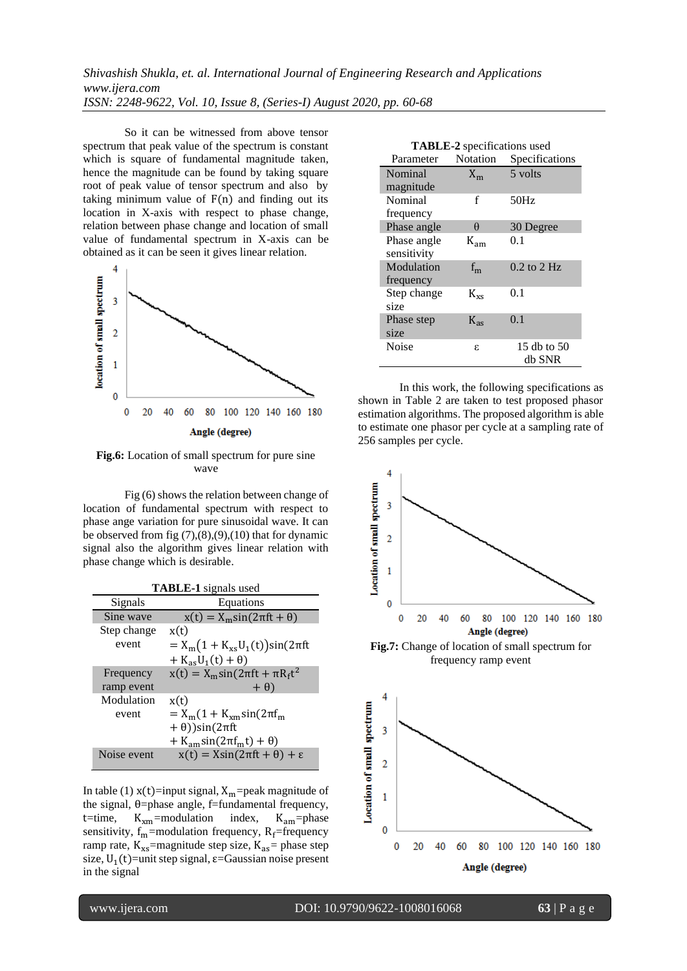So it can be witnessed from above tensor spectrum that peak value of the spectrum is constant which is square of fundamental magnitude taken, hence the magnitude can be found by taking square root of peak value of tensor spectrum and also by taking minimum value of  $F(n)$  and finding out its location in X-axis with respect to phase change, relation between phase change and location of small value of fundamental spectrum in X-axis can be obtained as it can be seen it gives linear relation.



**Fig.6:** Location of small spectrum for pure sine wave

Fig (6) shows the relation between change of location of fundamental spectrum with respect to phase ange variation for pure sinusoidal wave. It can be observed from fig  $(7)$ , $(8)$ , $(9)$ , $(10)$  that for dynamic signal also the algorithm gives linear relation with phase change which is desirable.

| <b>TABLE-1</b> signals used |                                                    |  |
|-----------------------------|----------------------------------------------------|--|
| Signals                     | Equations                                          |  |
| Sine wave                   | $x(t) = X_m \sin(2\pi ft + \theta)$                |  |
| Step change                 | x(t)                                               |  |
| event                       | $= X_{m}(1 + K_{xs}U_{1}(t))\sin(2\pi ft)$         |  |
|                             | $+ K_{as}U_1(t) + \theta$                          |  |
| Frequency                   | $x(t) = X_m \sin(2\pi ft + \pi R_f t^2)$           |  |
| ramp event                  | $+ \theta$                                         |  |
| Modulation                  | x(t)                                               |  |
| event                       | $=X_{\rm m}(1+K_{\rm ym}sin(2\pi f_{\rm m}))$      |  |
|                             | $+ \theta)$ )sin(2 $\pi$ ft                        |  |
|                             | + K <sub>am</sub> sin( $2\pi f_m t$ ) + $\theta$ ) |  |
| Noise event                 | $x(t) = X\sin(2\pi ft + \theta) + \varepsilon$     |  |

In table (1)  $x(t)$ =input signal,  $X_m$ =peak magnitude of the signal,  $θ$ =phase angle, f=fundamental frequency, t=time,  $K_{xm}$ =modulation index,  $K_{am}$ =phase sensitivity,  $f_m$ =modulation frequency,  $R_f$ =frequency ramp rate,  $K_{xs}$ =magnitude step size,  $K_{as}$ = phase step size,  $U_1(t)$ =unit step signal,  $\varepsilon$ =Gaussian noise present in the signal

| <b>TABLE-2</b> specifications used |                 |                 |
|------------------------------------|-----------------|-----------------|
| Parameter                          | <b>Notation</b> | Specifications  |
| Nominal                            | $X_{m}$         | 5 volts         |
| magnitude                          |                 |                 |
| Nominal                            | f               | 50Hz            |
| frequency                          |                 |                 |
| Phase angle                        | θ               | 30 Degree       |
| Phase angle                        | $K_{am}$        | 0.1             |
| sensitivity                        |                 |                 |
| Modulation                         | $f_{m}$         | $0.2$ to $2$ Hz |
| frequency                          |                 |                 |
| Step change                        | $K_{\rm xs}$    | 0.1             |
| size                               |                 |                 |
| Phase step                         | $K_{ac}$        | 0.1             |
| size                               |                 |                 |
| Noise                              | ε               | 15 db to 50     |
|                                    |                 | db SNR          |

In this work, the following specifications as shown in Table 2 are taken to test proposed phasor estimation algorithms. The proposed algorithm is able to estimate one phasor per cycle at a sampling rate of 256 samples per cycle.



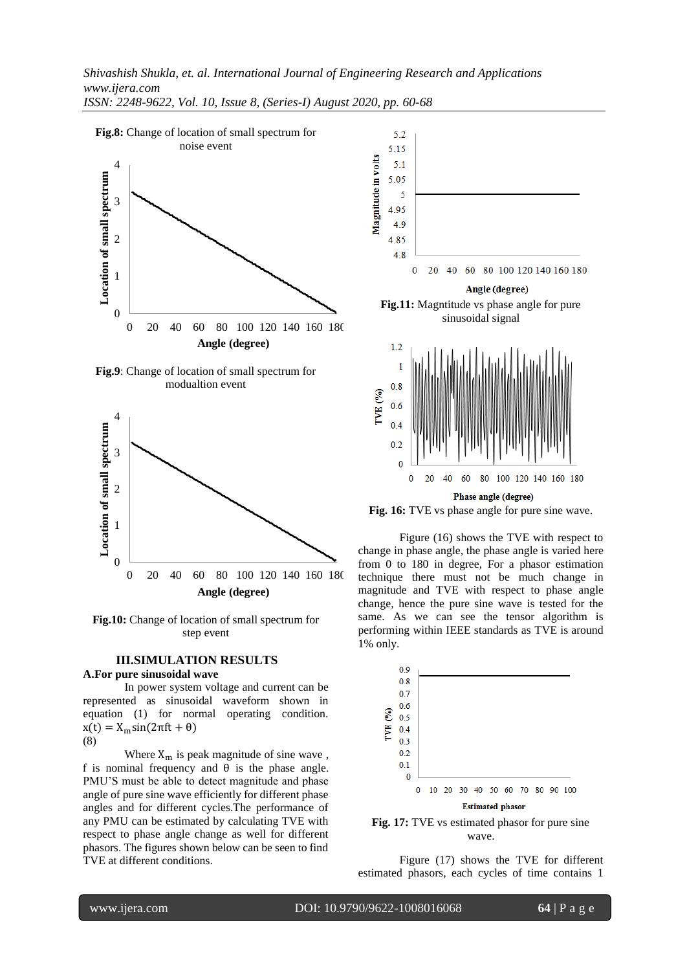

*ISSN: 2248-9622, Vol. 10, Issue 8, (Series-I) August 2020, pp. 60-68*







**Fig.10:** Change of location of small spectrum for step event

#### **III.SIMULATION RESULTS**

# **A.For pure sinusoidal wave**

In power system voltage and current can be represented as sinusoidal waveform shown in equation (1) for normal operating condition.  $x(t) = X_m \sin(2\pi f t + \theta)$ 

(8)

I

Where  $X_m$  is peak magnitude of sine wave, f is nominal frequency and  $\theta$  is the phase angle. PMU'S must be able to detect magnitude and phase angle of pure sine wave efficiently for different phase angles and for different cycles.The performance of any PMU can be estimated by calculating TVE with respect to phase angle change as well for different phasors. The figures shown below can be seen to find TVE at different conditions.



**Fig. 16:** TVE vs phase angle for pure sine wave.

Figure (16) shows the TVE with respect to change in phase angle, the phase angle is varied here from 0 to 180 in degree, For a phasor estimation technique there must not be much change in magnitude and TVE with respect to phase angle change, hence the pure sine wave is tested for the same. As we can see the tensor algorithm is performing within IEEE standards as TVE is around 1% only.



**Fig. 17:** TVE vs estimated phasor for pure sine wave.

Figure (17) shows the TVE for different estimated phasors, each cycles of time contains 1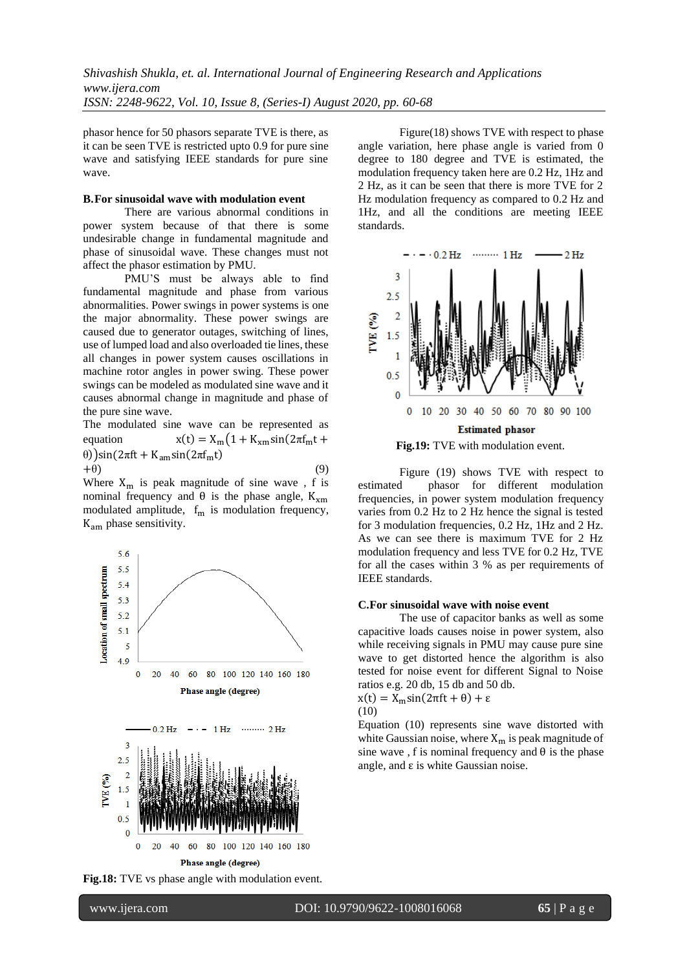phasor hence for 50 phasors separate TVE is there, as it can be seen TVE is restricted upto 0.9 for pure sine wave and satisfying IEEE standards for pure sine wave.

#### **B.For sinusoidal wave with modulation event**

There are various abnormal conditions in power system because of that there is some undesirable change in fundamental magnitude and phase of sinusoidal wave. These changes must not affect the phasor estimation by PMU.

PMU'S must be always able to find fundamental magnitude and phase from various abnormalities. Power swings in power systems is one the major abnormality. These power swings are caused due to generator outages, switching of lines, use of lumped load and also overloaded tie lines, these all changes in power system causes oscillations in machine rotor angles in power swing. These power swings can be modeled as modulated sine wave and it causes abnormal change in magnitude and phase of the pure sine wave.

The modulated sine wave can be represented as equation  $x(t) = X_m(1 + K_{xm}\sin(2\pi f_m t +$ θ))sin(2πft + K<sub>am</sub>sin(2πf<sub>m</sub>t)  $+\theta$ ) (9)

Where  $X_m$  is peak magnitude of sine wave, f is nominal frequency and  $θ$  is the phase angle, K<sub>xm</sub> modulated amplitude,  $f_m$  is modulation frequency, Kam phase sensitivity.



**Fig.18:** TVE vs phase angle with modulation event.

Figure(18) shows TVE with respect to phase angle variation, here phase angle is varied from 0 degree to 180 degree and TVE is estimated, the modulation frequency taken here are 0.2 Hz, 1Hz and 2 Hz, as it can be seen that there is more TVE for 2 Hz modulation frequency as compared to 0.2 Hz and 1Hz, and all the conditions are meeting IEEE standards.



Figure (19) shows TVE with respect to estimated phasor for different modulation frequencies, in power system modulation frequency varies from 0.2 Hz to 2 Hz hence the signal is tested for 3 modulation frequencies, 0.2 Hz, 1Hz and 2 Hz. As we can see there is maximum TVE for 2 Hz modulation frequency and less TVE for 0.2 Hz, TVE for all the cases within 3 % as per requirements of IEEE standards.

#### **C.For sinusoidal wave with noise event**

The use of capacitor banks as well as some capacitive loads causes noise in power system, also while receiving signals in PMU may cause pure sine wave to get distorted hence the algorithm is also tested for noise event for different Signal to Noise ratios e.g. 20 db, 15 db and 50 db.



Equation (10) represents sine wave distorted with white Gaussian noise, where  $X_m$  is peak magnitude of sine wave, f is nominal frequency and  $\theta$  is the phase angle, and  $\varepsilon$  is white Gaussian noise.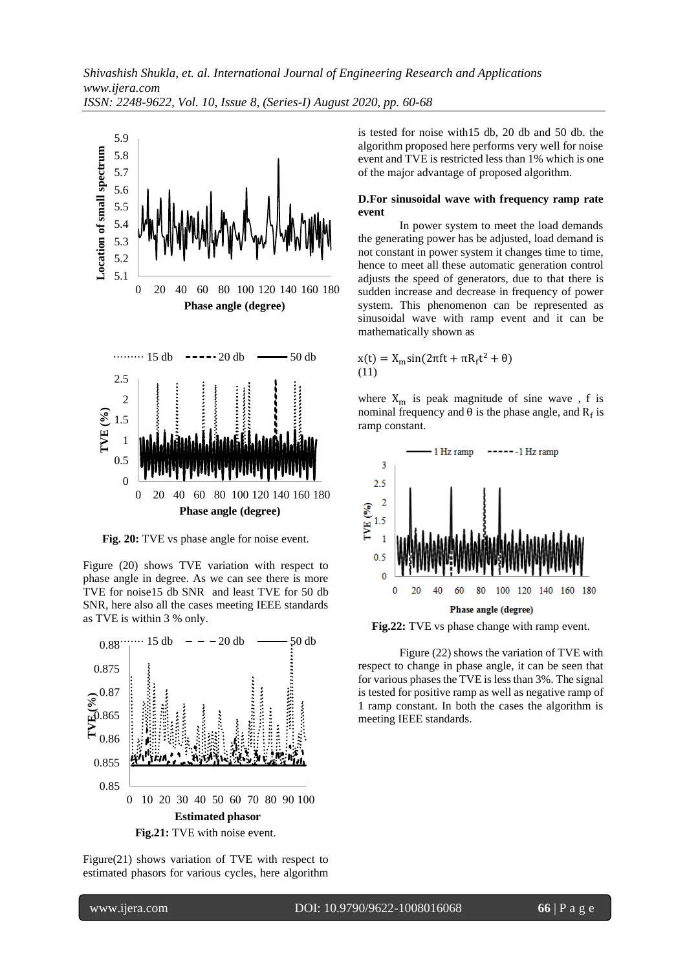

**Fig. 20:** TVE vs phase angle for noise event.

Figure (20) shows TVE variation with respect to phase angle in degree. As we can see there is more TVE for noise15 db SNR and least TVE for 50 db SNR, here also all the cases meeting IEEE standards as TVE is within 3 % only.

![](_page_6_Figure_4.jpeg)

Figure(21) shows variation of TVE with respect to estimated phasors for various cycles, here algorithm is tested for noise with15 db, 20 db and 50 db. the algorithm proposed here performs very well for noise event and TVE is restricted less than 1% which is one of the major advantage of proposed algorithm.

#### **D.For sinusoidal wave with frequency ramp rate event**

In power system to meet the load demands the generating power has be adjusted, load demand is not constant in power system it changes time to time, hence to meet all these automatic generation control adjusts the speed of generators, due to that there is sudden increase and decrease in frequency of power system. This phenomenon can be represented as sinusoidal wave with ramp event and it can be mathematically shown as

$$
x(t) = X_m \sin(2\pi f t + \pi R_f t^2 + \theta)
$$
  
(11)

where  $X_m$  is peak magnitude of sine wave, f is nominal frequency and  $θ$  is the phase angle, and  $R_f$  is ramp constant.

![](_page_6_Figure_11.jpeg)

**Fig.22:** TVE vs phase change with ramp event.

Figure (22) shows the variation of TVE with respect to change in phase angle, it can be seen that for various phases the TVE is less than 3%. The signal is tested for positive ramp as well as negative ramp of 1 ramp constant. In both the cases the algorithm is meeting IEEE standards.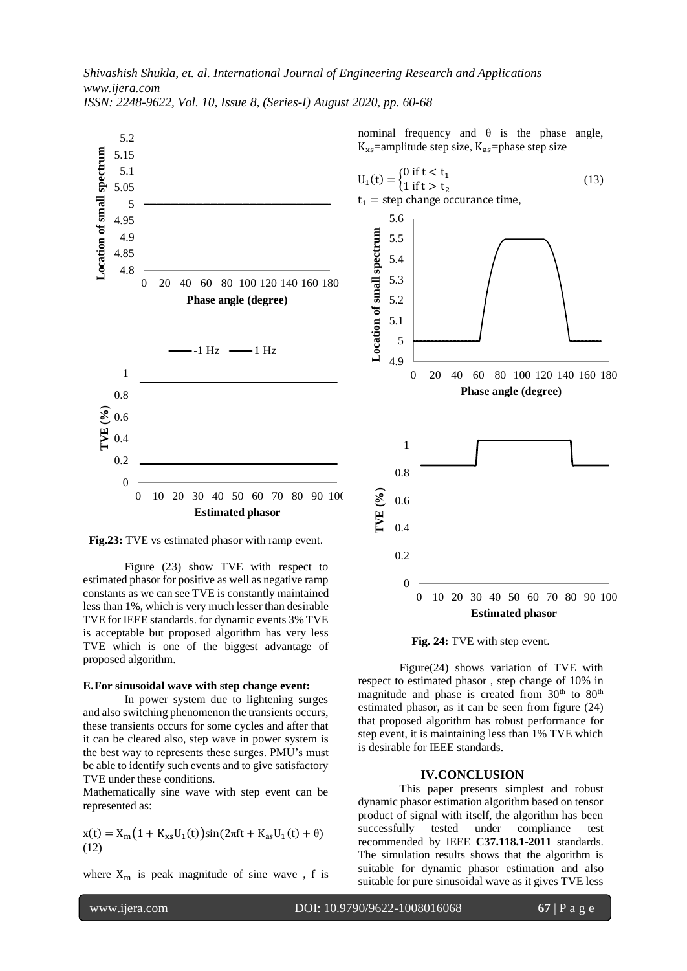![](_page_7_Figure_1.jpeg)

nominal frequency and  $θ$  is the phase angle,  $K_{xs}$ =amplitude step size,  $K_{as}$ =phase step size

![](_page_7_Figure_3.jpeg)

**Fig.23:** TVE vs estimated phasor with ramp event.

Figure (23) show TVE with respect to estimated phasor for positive as well as negative ramp constants as we can see TVE is constantly maintained less than 1%, which is very much lesser than desirable TVE for IEEE standards. for dynamic events 3% TVE is acceptable but proposed algorithm has very less TVE which is one of the biggest advantage of proposed algorithm.

#### **E.For sinusoidal wave with step change event:**

In power system due to lightening surges and also switching phenomenon the transients occurs, these transients occurs for some cycles and after that it can be cleared also, step wave in power system is the best way to represents these surges. PMU's must be able to identify such events and to give satisfactory TVE under these conditions.

Mathematically sine wave with step event can be represented as:

$$
x(t) = X_m(1 + K_{xs}U_1(t))sin(2\pi ft + K_{as}U_1(t) + \theta)
$$
  
(12)

where  $X_m$  is peak magnitude of sine wave, f is

**Fig. 24:** TVE with step event.

Figure(24) shows variation of TVE with respect to estimated phasor , step change of 10% in magnitude and phase is created from  $30<sup>th</sup>$  to  $80<sup>th</sup>$ estimated phasor, as it can be seen from figure (24) that proposed algorithm has robust performance for step event, it is maintaining less than 1% TVE which is desirable for IEEE standards.

#### **IV.CONCLUSION**

This paper presents simplest and robust dynamic phasor estimation algorithm based on tensor product of signal with itself, the algorithm has been successfully tested under compliance test recommended by IEEE **C37.118.1-2011** standards. The simulation results shows that the algorithm is suitable for dynamic phasor estimation and also suitable for pure sinusoidal wave as it gives TVE less